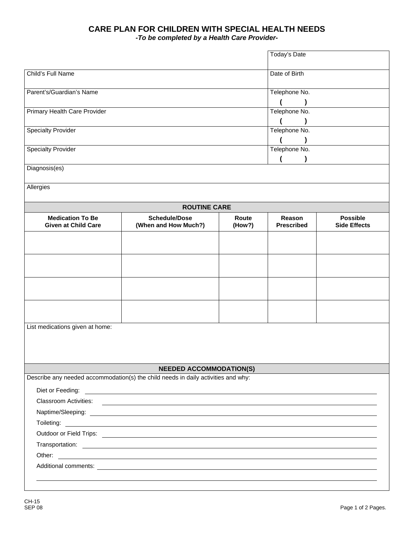## **CARE PLAN FOR CHILDREN WITH SPECIAL HEALTH NEEDS**

*-To be completed by a Health Care Provider-*

|                                                       |                                                                                                                       |                 | Today's Date                |                                        |
|-------------------------------------------------------|-----------------------------------------------------------------------------------------------------------------------|-----------------|-----------------------------|----------------------------------------|
|                                                       |                                                                                                                       |                 |                             |                                        |
| Child's Full Name<br>Parent's/Guardian's Name         |                                                                                                                       |                 | Date of Birth               |                                        |
|                                                       |                                                                                                                       |                 | Telephone No.               |                                        |
|                                                       |                                                                                                                       |                 |                             |                                        |
| Primary Health Care Provider                          |                                                                                                                       |                 | Telephone No.               |                                        |
|                                                       |                                                                                                                       |                 |                             |                                        |
| <b>Specialty Provider</b>                             |                                                                                                                       |                 | Telephone No.               |                                        |
| <b>Specialty Provider</b>                             |                                                                                                                       |                 | Telephone No.               |                                        |
|                                                       |                                                                                                                       |                 |                             |                                        |
|                                                       |                                                                                                                       |                 |                             |                                        |
| Allergies                                             |                                                                                                                       |                 |                             |                                        |
|                                                       |                                                                                                                       |                 |                             |                                        |
|                                                       | <b>ROUTINE CARE</b>                                                                                                   |                 |                             |                                        |
| <b>Medication To Be</b><br><b>Given at Child Care</b> | <b>Schedule/Dose</b><br>(When and How Much?)                                                                          | Route<br>(How?) | Reason<br><b>Prescribed</b> | <b>Possible</b><br><b>Side Effects</b> |
|                                                       |                                                                                                                       |                 |                             |                                        |
|                                                       |                                                                                                                       |                 |                             |                                        |
|                                                       |                                                                                                                       |                 |                             |                                        |
|                                                       |                                                                                                                       |                 |                             |                                        |
|                                                       |                                                                                                                       |                 |                             |                                        |
|                                                       |                                                                                                                       |                 |                             |                                        |
|                                                       |                                                                                                                       |                 |                             |                                        |
|                                                       |                                                                                                                       |                 |                             |                                        |
| List medications given at home:                       |                                                                                                                       |                 |                             |                                        |
|                                                       |                                                                                                                       |                 |                             |                                        |
|                                                       |                                                                                                                       |                 |                             |                                        |
|                                                       |                                                                                                                       |                 |                             |                                        |
|                                                       | <b>NEEDED ACCOMMODATION(S)</b>                                                                                        |                 |                             |                                        |
|                                                       | Describe any needed accommodation(s) the child needs in daily activities and why:                                     |                 |                             |                                        |
| Diet or Feeding:                                      | <u> 1980 - Andrea Brand, amerikansk politik (</u>                                                                     |                 |                             |                                        |
| <b>Classroom Activities:</b>                          | <u> 1989 - John Stein, september 1989 - John Stein, september 1989 - John Stein, september 1989 - John Stein, sep</u> |                 |                             |                                        |
|                                                       |                                                                                                                       |                 |                             |                                        |
|                                                       |                                                                                                                       |                 |                             |                                        |
|                                                       |                                                                                                                       |                 |                             |                                        |
|                                                       |                                                                                                                       |                 |                             |                                        |
|                                                       |                                                                                                                       |                 |                             |                                        |
|                                                       |                                                                                                                       |                 |                             |                                        |
|                                                       |                                                                                                                       |                 |                             |                                        |
|                                                       |                                                                                                                       |                 |                             |                                        |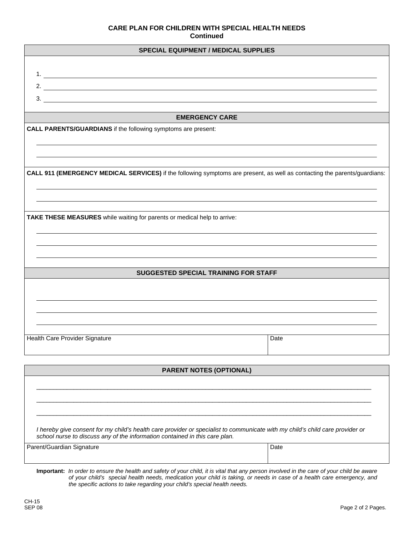## **CARE PLAN FOR CHILDREN WITH SPECIAL HEALTH NEEDS Continued**

| <b>SPECIAL EQUIPMENT / MEDICAL SUPPLIES</b>                                                                                   |      |  |  |  |
|-------------------------------------------------------------------------------------------------------------------------------|------|--|--|--|
|                                                                                                                               |      |  |  |  |
|                                                                                                                               |      |  |  |  |
| 2. $\overline{\phantom{a}}$                                                                                                   |      |  |  |  |
|                                                                                                                               |      |  |  |  |
| 3.                                                                                                                            |      |  |  |  |
| <b>EMERGENCY CARE</b>                                                                                                         |      |  |  |  |
| CALL PARENTS/GUARDIANS if the following symptoms are present:                                                                 |      |  |  |  |
|                                                                                                                               |      |  |  |  |
|                                                                                                                               |      |  |  |  |
|                                                                                                                               |      |  |  |  |
| CALL 911 (EMERGENCY MEDICAL SERVICES) if the following symptoms are present, as well as contacting the parents/guardians:     |      |  |  |  |
|                                                                                                                               |      |  |  |  |
|                                                                                                                               |      |  |  |  |
|                                                                                                                               |      |  |  |  |
| TAKE THESE MEASURES while waiting for parents or medical help to arrive:                                                      |      |  |  |  |
|                                                                                                                               |      |  |  |  |
|                                                                                                                               |      |  |  |  |
|                                                                                                                               |      |  |  |  |
|                                                                                                                               |      |  |  |  |
| SUGGESTED SPECIAL TRAINING FOR STAFF                                                                                          |      |  |  |  |
|                                                                                                                               |      |  |  |  |
|                                                                                                                               |      |  |  |  |
|                                                                                                                               |      |  |  |  |
|                                                                                                                               |      |  |  |  |
|                                                                                                                               |      |  |  |  |
| Health Care Provider Signature                                                                                                | Date |  |  |  |
|                                                                                                                               |      |  |  |  |
|                                                                                                                               |      |  |  |  |
| <b>PARENT NOTES (OPTIONAL)</b>                                                                                                |      |  |  |  |
|                                                                                                                               |      |  |  |  |
|                                                                                                                               |      |  |  |  |
|                                                                                                                               |      |  |  |  |
|                                                                                                                               |      |  |  |  |
| I hereby give consent for my child's health care provider or specialist to communicate with my child's child care provider or |      |  |  |  |
| school nurse to discuss any of the information contained in this care plan.                                                   |      |  |  |  |
| Parent/Guardian Signature                                                                                                     | Date |  |  |  |
|                                                                                                                               |      |  |  |  |

**Important:** *In order to ensure the health and safety of your child, it is vital that any person involved in the care of your child be aware of your child's special health needs, medication your child is taking, or needs in case of a health care emergency, and the specific actions to take regarding your child's special health needs.*